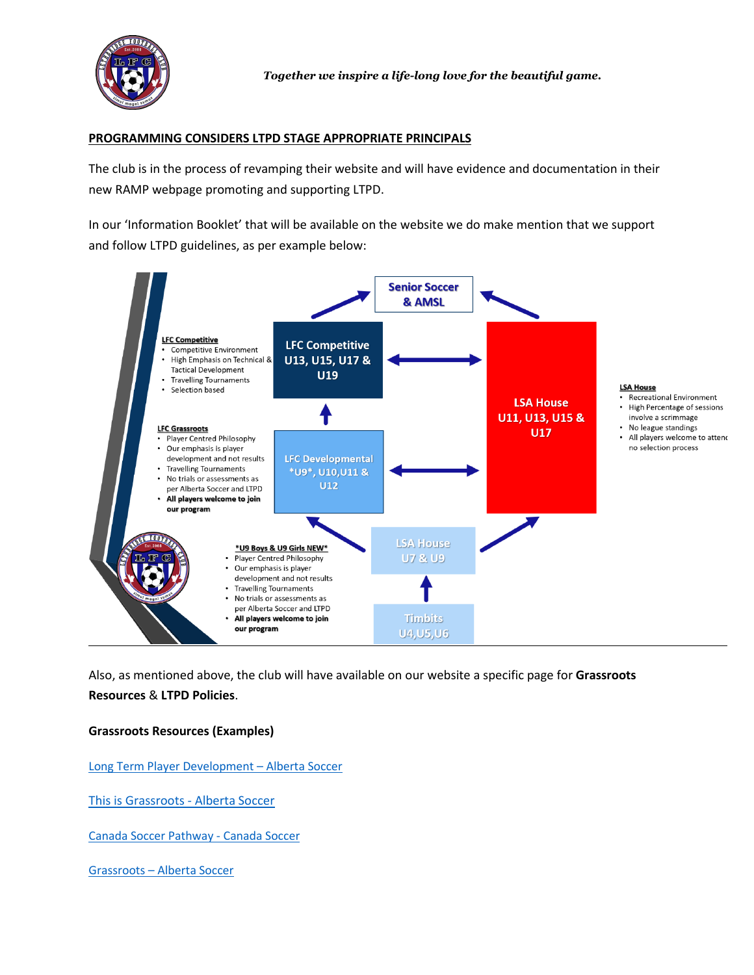

## **PROGRAMMING CONSIDERS LTPD STAGE APPROPRIATE PRINCIPALS**

The club is in the process of revamping their website and will have evidence and documentation in their new RAMP webpage promoting and supporting LTPD.

In our 'Information Booklet' that will be available on the website we do make mention that we support and follow LTPD guidelines, as per example below:



Also, as mentioned above, the club will have available on our website a specific page for **Grassroots Resources** & **LTPD Policies**.

## **Grassroots Resources (Examples)**

[Long Term Player Development –](https://albertasoccer.com/long-term-player-development/) Alberta Soccer

[This is Grassroots -](https://www.youtube.com/watch?v=mrTYO7FUHsM) Alberta Soccer

[Canada Soccer Pathway -](https://canadasoccer.com/play-landing/canada-soccer-pathway/) Canada Soccer

Grassroots – [Alberta Soccer](https://albertasoccer.com/player/grassroots/)